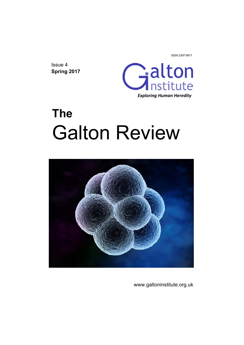ISSN 2397-9917

Issue 4 **Spring 2017** 



# **The**  Galton Review



www.galtoninstitute.org.uk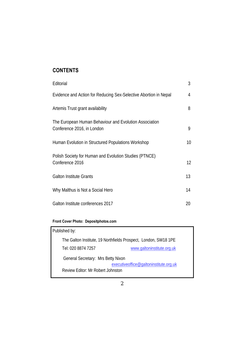## **CONTENTS**

| Editorial                                                                            | 3  |
|--------------------------------------------------------------------------------------|----|
| Evidence and Action for Reducing Sex-Selective Abortion in Nepal                     | 4  |
| Artemis Trust grant availability                                                     | 8  |
| The European Human Behaviour and Evolution Association<br>Conference 2016, in London | 9  |
| Human Evolution in Structured Populations Workshop                                   | 10 |
| Polish Society for Human and Evolution Studies (PTNCE)<br>Conference 2016            | 12 |
| <b>Galton Institute Grants</b>                                                       | 13 |
| Why Malthus is Not a Social Hero                                                     | 14 |
| Galton Institute conferences 2017                                                    | 20 |

#### **Front Cover Photo: Depositphotos.com**

| Published by:                                                   |                                        |  |
|-----------------------------------------------------------------|----------------------------------------|--|
| The Galton Institute, 19 Northfields Prospect, London, SW18 1PE |                                        |  |
| Tel: 020 8874 7257                                              | www.galtoninstitute.org.uk             |  |
| General Secretary: Mrs Betty Nixon                              |                                        |  |
|                                                                 | executiveoffice@galtoninstitute.org.uk |  |
| Review Editor: Mr Robert Johnston                               |                                        |  |
|                                                                 |                                        |  |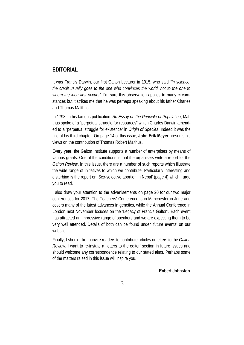#### **EDITORIAL**

It was Francis Darwin, our first Galton Lecturer in 1915, who said *"In science, the credit usually goes to the one who convinces the world, not to the one to whom the idea first occurs".* I'm sure this observation applies to many circumstances but it strikes me that he was perhaps speaking about his father Charles and Thomas Malthus.

In 1798, in his famous publication, *An Essay on the Principle of Population*, Malthus spoke of a "perpetual struggle for resources" which Charles Darwin amended to a "perpetual struggle for existence" in *Origin of Species*. Indeed it was the title of his third chapter. On page 14 of this issue, **John Erik Meyer** presents his views on the contribution of Thomas Robert Malthus.

Every year, the Galton Institute supports a number of enterprises by means of various grants. One of the conditions is that the organisers write a report for the *Galton Review*. In this issue, there are a number of such reports which illustrate the wide range of initiatives to which we contribute. Particularly interesting and disturbing is the report on 'Sex-selective abortion in Nepal' (page 4) which I urge you to read.

I also draw your attention to the advertisements on page 20 for our two major conferences for 2017. The Teachers' Conference is in Manchester in June and covers many of the latest advances in genetics, while the Annual Conference in London next November focuses on the 'Legacy of Francis Galton'. Each event has attracted an impressive range of speakers and we are expecting them to be very well attended. Details of both can be found under 'future events' on our website.

Finally, I should like to invite readers to contribute articles or letters to the *Galton Review*. I want to re-instate a 'letters to the editor' section in future issues and should welcome any correspondence relating to our stated aims. Perhaps some of the matters raised in this issue will inspire you.

**Robert Johnston**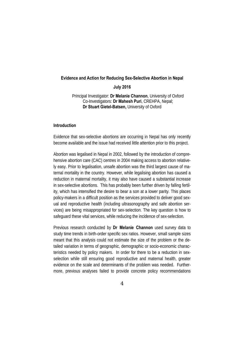#### **Evidence and Action for Reducing Sex-Selective Abortion in Nepal**

**July 2016** 

 Principal Investigator: **Dr Melanie Channon**, University of Oxford Co-Investigators: **Dr Mahesh Puri**, CREHPA, Nepal; **Dr Stuart Gietel-Batsen,** University of Oxford

#### **Introduction**

Evidence that sex-selective abortions are occurring in Nepal has only recently become available and the issue had received little attention prior to this project.

Abortion was legalised in Nepal in 2002, followed by the introduction of comprehensive abortion care (CAC) centres in 2004 making access to abortion relatively easy. Prior to legalisation, unsafe abortion was the third largest cause of maternal mortality in the country. However, while legalising abortion has caused a reduction in maternal mortality, it may also have caused a substantial increase in sex-selective abortions. This has probably been further driven by falling fertility, which has intensified the desire to bear a son at a lower parity. This places policy-makers in a difficult position as the services provided to deliver good sexual and reproductive health (including ultrasonography and safe abortion services) are being misappropriated for sex-selection. The key question is how to safeguard these vital services, while reducing the incidence of sex-selection.

Previous research conducted by **Dr Melanie Channon** used survey data to study time trends in birth-order specific sex ratios. However, small sample sizes meant that this analysis could not estimate the size of the problem or the detailed variation in terms of geographic, demographic or socio-economic characteristics needed by policy makers. In order for there to be a reduction in sexselection while still ensuring good reproductive and maternal health, greater evidence on the scale and determinants of the problem was needed. Furthermore, previous analyses failed to provide concrete policy recommendations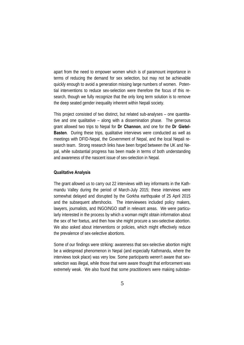apart from the need to empower women which is of paramount importance in terms of reducing the demand for sex selection, but may not be achievable quickly enough to avoid a generation missing large numbers of women. Potential interventions to reduce sex-selection were therefore the focus of this research, though we fully recognize that the only long term solution is to remove the deep seated gender inequality inherent within Nepali society.

This project consisted of two distinct, but related sub-analyses – one quantitative and one qualitative – along with a dissemination phase. The generous grant allowed two trips to Nepal for **Dr Channon**, and one for the **Dr Gietel-Basten**. During these trips, qualitative interviews were conducted as well as meetings with DFID-Nepal, the Government of Nepal, and the local Nepali research team. Strong research links have been forged between the UK and Nepal, while substantial progress has been made in terms of both understanding and awareness of the nascent issue of sex-selection in Nepal.

#### **Qualitative Analysis**

The grant allowed us to carry out 22 interviews with key informants in the Kathmandu Valley during the period of March-July 2015; these interviews were somewhat delayed and disrupted by the Gorkha earthquake of 25 April 2015 and the subsequent aftershocks. The interviewees included policy makers, lawyers, journalists, and INGO/NGO staff in relevant areas. We were particularly interested in the process by which a woman might obtain information about the sex of her foetus, and then how she might procure a sex-selective abortion. We also asked about interventions or policies, which might effectively reduce the prevalence of sex-selective abortions.

Some of our findings were striking: awareness that sex-selective abortion might be a widespread phenomenon in Nepal (and especially Kathmandu, where the interviews took place) was very low. Some participants weren't aware that sexselection was illegal, while those that were aware thought that enforcement was extremely weak. We also found that some practitioners were making substan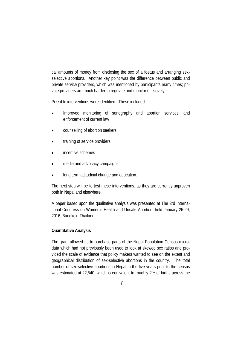tial amounts of money from disclosing the sex of a foetus and arranging sexselective abortions. Another key point was the difference between public and private service providers, which was mentioned by participants many times; private providers are much harder to regulate and monitor effectively.

Possible interventions were identified. These included:

- Improved monitoring of sonography and abortion services, and enforcement of current law
- counselling of abortion seekers
- training of service providers
- incentive schemes
- media and advocacy campaigns
- long term attitudinal change and education.

The next step will be to test these interventions, as they are currently unproven both in Nepal and elsewhere.

A paper based upon the qualitative analysis was presented at The 3rd International Congress on Women's Health and Unsafe Abortion, held January 26-29, 2016, Bangkok, Thailand.

#### **Quantitative Analysis**

The grant allowed us to purchase parts of the Nepal Population Census microdata which had not previously been used to look at skewed sex ratios and provided the scale of evidence that policy makers wanted to see on the extent and geographical distribution of sex-selective abortions in the country. The total number of sex-selective abortions in Nepal in the five years prior to the census was estimated at 22,540, which is equivalent to roughly 2% of births across the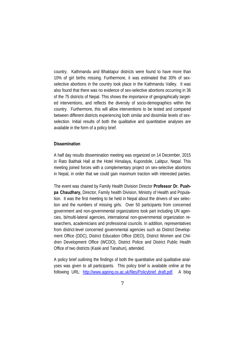country. Kathmandu and Bhaktapur districts were found to have more than 10% of girl births missing. Furthermore, it was estimated that 30% of sexselective abortions in the country took place in the Kathmandu Valley. It was also found that there was no evidence of sex-selective abortions occurring in 36 of the 75 districts of Nepal. This shows the importance of geographically targeted interventions, and reflects the diversity of socio-demographics within the country. Furthermore, this will allow interventions to be tested and compared between different districts experiencing both similar and dissimilar levels of sexselection. Initial results of both the qualitative and quantitative analyses are available in the form of a policy brief.

#### **Dissemination**

A half day results dissemination meeting was organized on 14 December, 2015 in Rato Baithak Hall at the Hotel Himalaya, Kupondole, Lalitpur, Nepal. This meeting joined forces with a complementary project on sex-selective abortions in Nepal, in order that we could gain maximum traction with interested parties.

The event was chaired by Family Health Division Director **Professor Dr. Pushpa Chaudhary,** Director, Family health Division, Ministry of Health and Population. It was the first meeting to be held in Nepal about the drivers of sex selection and the numbers of missing girls. Over 50 participants from concerned government and non-governmental organizations took part including UN agencies, bi/multi-lateral agencies, international non-governmental organization researchers, academicians and professional councils. In addition, representatives from district-level concerned governmental agencies such as District Development Office (DDC), District Education Office (DEO), District Women and Children Development Office (WCDO), District Police and District Public Health Office of two districts (Kaski and Tanahun), attended.

A policy brief outlining the findings of both the quantitative and qualitative analyses was given to all participants. This policy brief is available online at the following URL: http://www.ageing.ox.ac.uk/files/Policybrief\_draft.pdf. A blog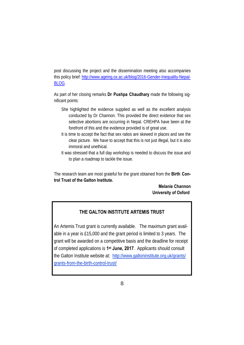post discussing the project and the dissemination meeting also accompanies this policy brief: http://www.ageing.ox.ac.uk/blog/2016-Gender-Inequality-Nepal-BLOG.

As part of her closing remarks **Dr Pushpa Chaudhary** made the following significant points:

- She highlighted the evidence supplied as well as the excellent analysis conducted by Dr Channon. This provided the direct evidence that sex selective abortions are occurring in Nepal. CREHPA have been at the forefront of this and the evidence provided is of great use.
- It is time to accept the fact that sex ratios are skewed in places and see the clear picture. We have to accept that this is not just illegal, but it is also immoral and unethical.
- It was stressed that a full day workshop is needed to discuss the issue and to plan a roadmap to tackle the issue.

The research team are most grateful for the grant obtained from the **Birth Control Trust of the Galton Institute.** 

> **Melanie Channon University of Oxford**

#### **THE GALTON INSTITUTE ARTEMIS TRUST**

An Artemis Trust grant is currently available. The maximum grant available in a year is £15,000 and the grant period is limited to 3 years. The grant will be awarded on a competitive basis and the deadline for receipt of completed applications is **1st June, 2017**. Applicants should consult the Galton Institute website at: http://www.galtoninstitute.org.uk/grants/ grants-from-the-birth-control-trust/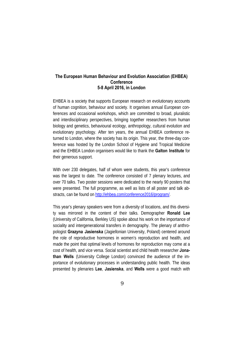#### **The European Human Behaviour and Evolution Association (EHBEA) Conference 5-8 April 2016, in London**

EHBEA is a society that supports European research on evolutionary accounts of human cognition, behaviour and society. It organises annual European conferences and occasional workshops, which are committed to broad, pluralistic and interdisciplinary perspectives, bringing together researchers from human biology and genetics, behavioural ecology, anthropology, cultural evolution and evolutionary psychology. After ten years, the annual EHBEA conference returned to London, where the society has its origin. This year, the three-day conference was hosted by the London School of Hygiene and Tropical Medicine and the EHBEA London organisers would like to thank the **Galton Institute** for their generous support.

With over 230 delegates, half of whom were students, this year's conference was the largest to date. The conference consisted of 7 plenary lectures, and over 70 talks. Two poster sessions were dedicated to the nearly 90 posters that were presented. The full programme, as well as lists of all poster and talk abstracts, can be found on http://ehbea.com/conference2016/program/.

This year's plenary speakers were from a diversity of locations, and this diversity was mirrored in the content of their talks. Demographer **Ronald Lee**  (University of California, Berkley US) spoke about his work on the importance of sociality and intergenerational transfers in demography. The plenary of anthropologist **Grazyna Jasienska** (Jagiellonian University, Poland) centered around the role of reproductive hormones in women's reproduction and health, and made the point that optimal levels of hormones for reproduction may come at a cost of health, and vice versa. Social scientist and child health researcher **Jonathan Wells** (University College London) convinced the audience of the importance of evolutionary processes in understanding public health. The ideas presented by plenaries **Lee**, **Jasienska**, and **Wells** were a good match with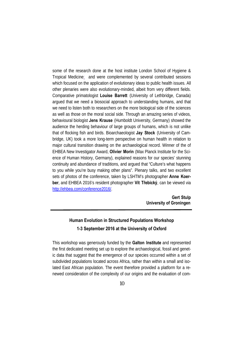some of the research done at the host institute London School of Hygiene & Tropical Medicine; and were complemented by several contributed sessions which focused on the application of evolutionary ideas to public health issues. All other plenaries were also evolutionary-minded, albeit from very different fields. Comparative primatologist **Louise Barrett** (University of Lethbridge, Canada) argued that we need a biosocial approach to understanding humans, and that we need to listen both to researchers on the more biological side of the sciences as well as those on the moral social side. Through an amazing series of videos, behavioural biologist **Jens Krause** (Humboldt University, Germany) showed the audience the herding behaviour of large groups of humans, which is not unlike that of flocking fish and birds. Bioarchaeologist **Jay Stock** (University of Cambridge, UK) took a more long-term perspective on human health in relation to major cultural transition drawing on the archaeological record. Winner of the of EHBEA New Investigator Award, **Olivier Morin** (Max Planck Institute for the Science of Human History, Germany), explained reasons for our species' stunning continuity and abundance of traditions, and argued that "Culture's what happens to you while you're busy making other plans". Plenary talks, and two excellent sets of photos of the conference, taken by LSHTM's photographer **Anne Koerber**, and EHBEA 2016's resident photographer **Vít Třebický**, can be viewed via http://ehbea.com/conference2016/.

> **Gert Stulp University of Groningen**

### **Human Evolution in Structured Populations Workshop 1-3 September 2016 at the University of Oxford**

This workshop was generously funded by the **Galton Institute** and represented the first dedicated meeting set up to explore the archaeological, fossil and genetic data that suggest that the emergence of our species occurred within a set of subdivided populations located across Africa, rather than within a small and isolated East African population. The event therefore provided a platform for a renewed consideration of the complexity of our origins and the evaluation of com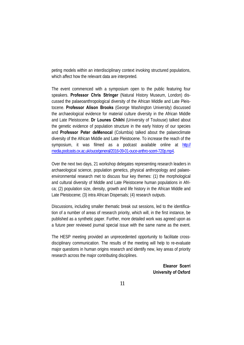peting models within an interdisciplinary context invoking structured populations, which affect how the relevant data are interpreted.

The event commenced with a symposium open to the public featuring four speakers. **Professor Chris Stringer** (Natural History Museum, London) discussed the palaeoanthropological diversity of the African Middle and Late Pleistocene. **Professor Alison Brooks** (George Washington University) discussed the archaeological evidence for material culture diversity in the African Middle and Late Pleistocene. **Dr Lounes Chikhi** (University of Toulouse) talked about the genetic evidence of population structure in the early history of our species and **Professor Peter deMenocal** (Columbia) talked about the palaeoclimate diversity of the African Middle and Late Pleistocene. To increase the reach of the symposium, it was filmed as a podcast available online at http:// media.podcasts.ox.ac.uk/ouce/general/2016-09-01-ouce-anthro-scerri-720p.mp4.

Over the next two days, 21 workshop delegates representing research leaders in archaeological science, population genetics, physical anthropology and palaeoenvironmental research met to discuss four key themes: (1) the morphological and cultural diversity of Middle and Late Pleistocene human populations in Africa; (2) population size, density, growth and life history in the African Middle and Late Pleistocene; (3) intra African Dispersals; (4) research outputs.

Discussions, including smaller thematic break out sessions, led to the identification of a number of areas of research priority, which will, in the first instance, be published as a synthetic paper. Further, more detailed work was agreed upon as a future peer reviewed journal special issue with the same name as the event.

The HESP meeting provided an unprecedented opportunity to facilitate crossdisciplinary communication. The results of the meeting will help to re-evaluate major questions in human origins research and identify new, key areas of priority research across the major contributing disciplines.

> **Eleanor Scerri University of Oxford**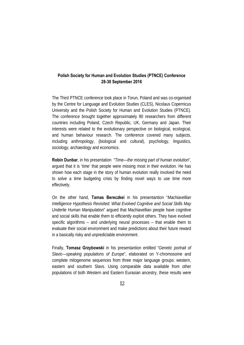#### **Polish Society for Human and Evolution Studies (PTNCE) Conference 28-30 September 2016**

The Third PTNCE conference took place in Torun, Poland and was co-organised by the Centre for Language and Evolution Studies (CLES), Nicolaus Copernicus University and the Polish Society for Human and Evolution Studies (PTNCE). The conference brought together approximately 90 researchers from different countries including Poland, Czech Republic, UK, Germany and Japan. Their interests were related to the evolutionary perspective on biological, ecological, and human behaviour research. The conference covered many subjects, including anthropology, (biological and cultural), psychology, linguistics, sociology, archaeology and economics.

**Robin Dunbar**, in his presentation "*Time—the missing part of human evolution*", argued that it is 'time' that people were missing most in their evolution. He has shown how each stage in the story of human evolution really involved the need to solve a time budgeting crisis by finding novel ways to use time more effectively.

On the other hand, **Tamas Bereczkei** in his presentantion "*Machiavellian Intelligence Hypothesis Revisited: What Evolved Cognitive and Social Skills May Underlie Human Manipulation*" argued that Machiavellian people have cognitive and social skills that enable them to efficiently exploit others. They have evolved specific algorithms – and underlying neural processes – that enable them to evaluate their social environment and make predictions about their future reward in a basically risky and unpredictable environment.

Finally, **Tomasz Grzybowski** in his presentantion entilted "*Genetic portrait of Slavic—speaking populations of Europe*", elaborated on Y-chromosome and complete mitogenome sequences from three major language groups: western, eastern and southern Slavs. Using comparable data available from other populations of both Western and Eastern Eurasian ancestry, these results were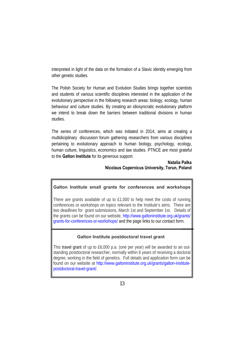interpreted in light of the data on the formation of a Slavic identity emerging from other genetic studies.

The Polish Society for Human and Evolution Studies brings together scientists and students of various scientific disciplines interested in the application of the evolutionary perspective in the following research areas: biology, ecology, human behaviour and culture studies. By creating an idiosyncratic evolutionary platform we intend to break down the barriers between traditional divisions in human studies.

The series of conferences, which was initiated in 2014, aims at creating a multidiciplinary discussion forum gathering researchers from various disciplines pertaining to evolutionary approach to human biology, psychology, ecology, human culture, linguistics, economics and law studies. PTNCE are most grateful to the **Galton Institute** for its generous support.

#### **Natalia Palka Nicolaus Copernicus University, Torun, Poland**

#### **Galton Institute small grants for conferences and workshops**

There are grants available of up to £1,000 to help meet the costs of running conferences or workshops on topics relevant to the Institute's aims. There are two deadlines for grant submissions, March 1st and September 1st. Details of the grants can be found on our website, http://www.galtoninstitute.org.uk/grants/ grants-for-conferences-or-workshops/ and the page links to our contact form.

#### **Galton Institute postdoctoral travel grant**

This travel grant of up to £6,000 p.a. (one per year) will be awarded to an outstanding postdoctoral researcher, normally within 6 years of receiving a doctoral degree, working in the field of genetics. Full details and application form can be found on our website at http://www.galtoninstitute.org.uk/grants/galton-institutepostdoctoral-travel-grant/.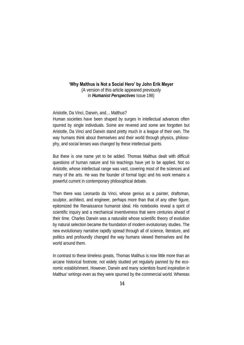#### **'Why Malthus is Not a Social Hero' by John Erik Meyer**

(A version of this article appeared previously in *Humanist Perspectives* Issue 198)

#### Aristotle, Da Vinci, Darwin, and… Malthus?

Human societies have been shaped by surges in intellectual advances often spurred by single individuals. Some are revered and some are forgotten but Aristotle, Da Vinci and Darwin stand pretty much in a league of their own. The way humans think about themselves and their world through physics, philosophy, and social lenses was changed by these intellectual giants.

But there is one name yet to be added. Thomas Malthus dealt with difficult questions of human nature and his teachings have yet to be applied. Not so Aristotle, whose intellectual range was vast, covering most of the sciences and many of the arts. He was the founder of formal logic and his work remains a powerful current in contemporary philosophical debate.

Then there was Leonardo da Vinci, whose genius as a painter, draftsman, sculptor, architect, and engineer, perhaps more than that of any other figure, epitomized the Renaissance humanist ideal. His notebooks reveal a spirit of scientific inquiry and a mechanical inventiveness that were centuries ahead of their time. Charles Darwin was a naturalist whose scientific theory of evolution by natural selection became the foundation of modern evolutionary studies. The new evolutionary narrative rapidly spread through all of science, literature, and politics and profoundly changed the way humans viewed themselves and the world around them.

In contrast to these timeless greats, Thomas Malthus is now little more than an arcane historical footnote, not widely studied yet regularly panned by the economic establishment. However, Darwin and many scientists found inspiration in Malthus' writings even as they were spurned by the commercial world. Whereas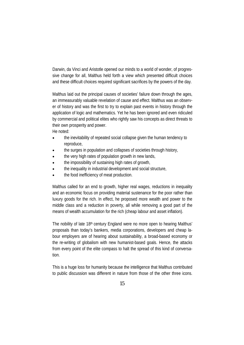Darwin, da Vinci and Aristotle opened our minds to a world of wonder, of progressive change for all, Malthus held forth a view which presented difficult choices and these difficult choices required significant sacrifices by the powers of the day.

Malthus laid out the principal causes of societies' failure down through the ages, an immeasurably valuable revelation of cause and effect. Malthus was an observer of history and was the first to try to explain past events in history through the application of logic and mathematics. Yet he has been ignored and even ridiculed by commercial and political elites who rightly saw his concepts as direct threats to their own prosperity and power.

He noted:

- the inevitability of repeated social collapse given the human tendency to reproduce,
- the surges in population and collapses of societies through history,
- the very high rates of population growth in new lands,
- the impossibility of sustaining high rates of growth,
- the inequality in industrial development and social structure,
- the food inefficiency of meat production.

Malthus called for an end to growth, higher real wages, reductions in inequality and an economic focus on providing material sustenance for the poor rather than luxury goods for the rich. In effect, he proposed more wealth and power to the middle class and a reduction in poverty, all while removing a good part of the means of wealth accumulation for the rich (cheap labour and asset inflation).

The nobility of late 18<sup>th</sup> century England were no more open to hearing Malthus' proposals than today's bankers, media corporations, developers and cheap labour employers are of hearing about sustainability, a broad-based economy or the re-writing of globalism with new humanist-based goals. Hence, the attacks from every point of the elite compass to halt the spread of this kind of conversation.

This is a huge loss for humanity because the intelligence that Malthus contributed to public discussion was different in nature from those of the other three icons.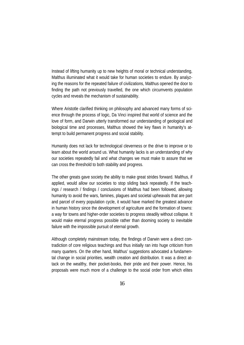Instead of lifting humanity up to new heights of moral or technical understanding, Malthus illuminated what it would take for human societies to endure. By analyzing the reasons for the repeated failure of civilizations, Malthus opened the door to finding the path not previously travelled, the one which circumvents population cycles and reveals the mechanism of sustainability.

Where Aristotle clarified thinking on philosophy and advanced many forms of science through the process of logic, Da Vinci inspired that world of science and the love of form, and Darwin utterly transformed our understanding of geological and biological time and processes, Malthus showed the key flaws in humanity's attempt to build permanent progress and social stability.

Humanity does not lack for technological cleverness or the drive to improve or to learn about the world around us. What humanity lacks is an understanding of why our societies repeatedly fail and what changes we must make to assure that we can cross the threshold to both stability and progress.

The other greats gave society the ability to make great strides forward. Malthus, if applied, would allow our societies to stop sliding back repeatedly. If the teachings / research / findings / conclusions of Malthus had been followed, allowing humanity to avoid the wars, famines, plagues and societal upheavals that are part and parcel of every population cycle, it would have marked the greatest advance in human history since the development of agriculture and the formation of towns: a way for towns and higher-order societies to progress steadily without collapse. It would make eternal progress possible rather than dooming society to inevitable failure with the impossible pursuit of eternal growth.

Although completely mainstream today, the findings of Darwin were a direct contradiction of core religious teachings and thus initially ran into huge criticism from many quarters. On the other hand, Malthus' suggestions advocated a fundamental change in social priorities, wealth creation and distribution. It was a direct attack on the wealthy, their pocket-books, their pride and their power. Hence, his proposals were much more of a challenge to the social order from which elites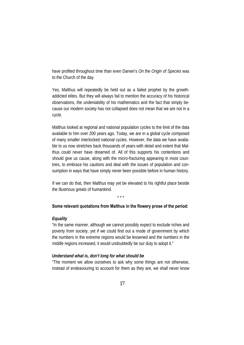have profited throughout time than even Darwin's *On the Origin of Species* was to the Church of the day.

Yes, Malthus will repeatedly be held out as a failed prophet by the growthaddicted elites. But they will always fail to mention the accuracy of his historical observations, the undeniability of his mathematics and the fact that simply because our modern society has not collapsed does not mean that we are not in a cycle.

Malthus looked at regional and national population cycles to the limit of the data available to him over 200 years ago. Today, we are in a global cycle composed of many smaller interlocked national cycles. However, the data we have available to us now stretches back thousands of years with detail and extent that Malthus could never have dreamed of. All of this supports his contentions and should give us cause, along with the micro-fracturing appearing in most countries, to embrace his cautions and deal with the issues of population and consumption in ways that have simply never been possible before in human history.

If we can do that, then Malthus may yet be elevated to his rightful place beside the illustrious greats of humankind.

\* \* \*

#### **Some relevant quotations from Malthus in the flowery prose of the period:**

#### *Equality*

"In the same manner, although we cannot possibly expect to exclude riches and poverty from society; yet if we could find out a mode of government by which the numbers in the extreme regions would be lessened and the numbers in the middle regions increased, it would undoubtedly be our duty to adopt it."

#### *Understand what is, don't long for what should be*

"The moment we allow ourselves to ask why some things are not otherwise, instead of endeavouring to account for them as they are, we shall never know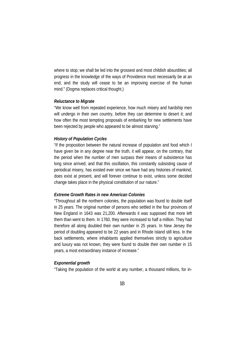where to stop; we shall be led into the grossest and most childish absurdities; all progress in the knowledge of the ways of Providence must necessarily be at an end; and the study will cease to be an improving exercise of the human mind." (Dogma replaces critical thought.)

#### *Reluctance to Migrate*

"We know well from repeated experience, how much misery and hardship men will undergo in their own country, before they can determine to desert it; and how often the most tempting proposals of embarking for new settlements have been rejected by people who appeared to be almost starving."

#### *History of Population Cycles*

"If the proposition between the natural increase of population and food which I have given be in any degree near the truth, it will appear, on the contrary, that the period when the number of men surpass their means of subsistence has long since arrived; and that this oscillation, this constantly subsisting cause of periodical misery, has existed ever since we have had any histories of mankind, does exist at present, and will forever continue to exist, unless some decided change takes place in the physical constitution of our nature."

#### *Extreme Growth Rates in new American Colonies*

"Throughout all the northern colonies, the population was found to double itself in 25 years. The original number of persons who settled in the four provinces of New England in 1643 was 21,200. Afterwards it was supposed that more left them than went to them. In 1760, they were increased to half a million. They had therefore all along doubled their own number in 25 years. In New Jersey the period of doubling appeared to be 22 years and in Rhode Island still less. In the back settlements, where inhabitants applied themselves strictly to agriculture and luxury was not known, they were found to double their own number in 15 years, a most extraordinary instance of increase."

#### *Exponential growth*

"Taking the population of the world at any number, a thousand millions, for in-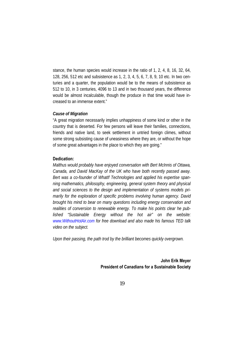stance, the human species would increase in the ratio of 1, 2, 4, 8, 16, 32, 64, 128, 256, 512 etc and subsistence as 1, 2, 3, 4, 5, 6, 7, 8, 9, 10 etc. In two centuries and a quarter, the population would be to the means of subsistence as 512 to 10, in 3 centuries, 4096 to 13 and in two thousand years, the difference would be almost incalculable, though the produce in that time would have increased to an immense extent."

#### *Cause of Migration*

"A great migration necessarily implies unhappiness of some kind or other in the country that is deserted. For few persons will leave their families, connections, friends and native land, to seek settlement in untried foreign climes, without some strong subsisting cause of uneasiness where they are, or without the hope of some great advantages in the place to which they are going."

#### **Dedication:**

*Malthus would probably have enjoyed conversation with Bert McInnis of Ottawa, Canada, and David MacKay of the UK who have both recently passed away. Bert was a co-founder of WhatIf Technologies and applied his expertise spanning mathematics, philosophy, engineering, general system theory and physical and social sciences to the design and implementation of systems models primarily for the exploration of specific problems involving human agency. David brought his mind to bear on many questions including energy conservation and realities of conversion to renewable energy. To make his points clear he published "Sustainable Energy without the hot air" on the website: www.WithoutHotAir.com for free download and also made his famous TED talk video on the subject.* 

*Upon their passing, the path trod by the brilliant becomes quickly overgrown.*

**John Erik Meyer President of Canadians for a Sustainable Society**